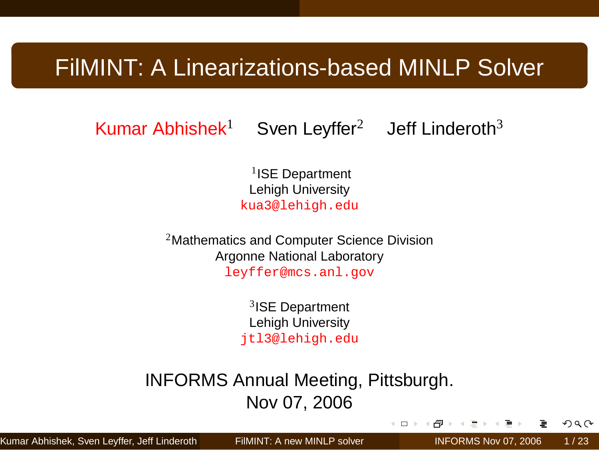## FilMINT: A Linearizations-based MINLP Solver

Kumar Abhishek<sup>1</sup> Sven Leyffer<sup>2</sup> Jeff Linderoth<sup>3</sup>

<sup>1</sup>ISE Department Lehigh University kua3@lehigh.edu

<sup>2</sup>Mathematics and Computer Science Division Argonne National Laboratory leyffer@mcs.anl.gov

> 3 ISE Department Lehigh University jtl3@lehigh.edu

INFORMS Annual Meeting, Pittsburgh. Nov 07, 2006

 $\left( -11\right)$ 

Kumar Abhishek, Sven Leyffer, Jeff Linderoth ( ISBN 1988) [FilMINT: A new MINLP solver](#page-22-0) Entertainment Laterment M

<span id="page-0-0"></span>÷.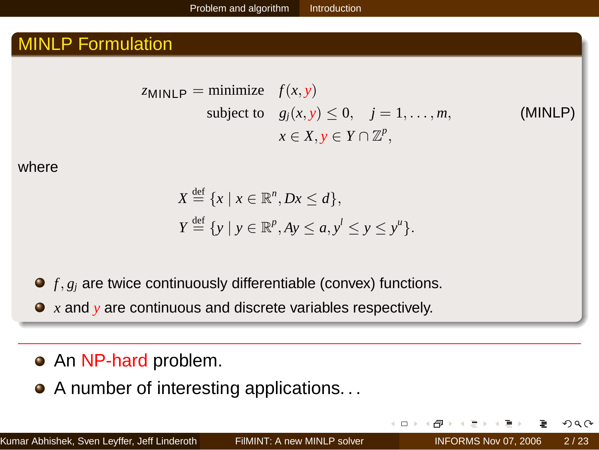#### MINLP Formulation

ZMINLP = minimize 
$$
f(x, y)
$$
  
subject to  $g_j(x, y) \le 0, \quad j = 1, ..., m,$   
 $x \in X, y \in Y \cap \mathbb{Z}^p,$ 

subject to *gj*(*x*, *y*) ≤ 0, *j* = 1, . . . , *m*, (MINLP)

where

$$
X \stackrel{\text{def}}{=} \{x \mid x \in \mathbb{R}^n, Dx \le d\},
$$
  

$$
Y \stackrel{\text{def}}{=} \{y \mid y \in \mathbb{R}^p, Ay \le a, y^l \le y \le y^u\}.
$$

● *f*, *g<sub>i</sub>* are twice continuously differentiable (convex) functions.

*x* and *y* are continuous and discrete variables respectively.

#### • An NP-hard problem.

• A number of interesting applications...

 $\leftarrow$   $\Box$   $\rightarrow$ 一句 E K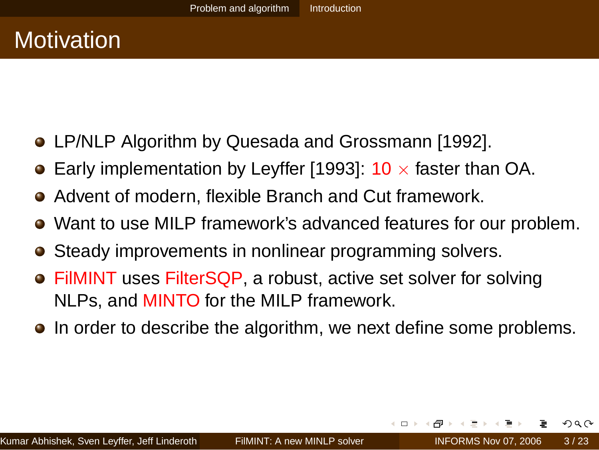# **Motivation**

- LP/NLP Algorithm by Quesada and Grossmann [1992].
- **Early implementation by Leyffer [1993]: 10**  $\times$  **faster than OA.**
- Advent of modern, flexible Branch and Cut framework.
- Want to use MILP framework's advanced features for our problem.
- **•** Steady improvements in nonlinear programming solvers.
- FilMINT uses FilterSQP, a robust, active set solver for solving NLPs, and MINTO for the MILP framework.
- In order to describe the algorithm, we next define some problems.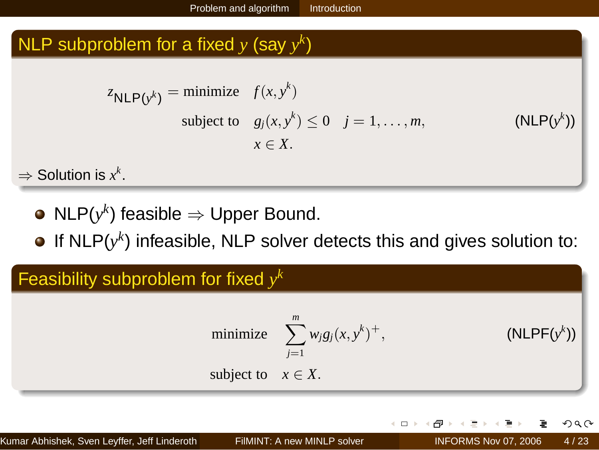### <span id="page-3-0"></span>NLP subproblem for a fixed  $y$  (say  $y^k$ )

$$
z_{\mathsf{NLP}(y^k)} = \text{minimize} \quad f(x, y^k)
$$
\n
$$
\text{subject to} \quad g_j(x, y^k) \le 0 \quad j = 1, \dots, m,
$$
\n
$$
x \in X.
$$
\n(NLP(y^k))

 $\Rightarrow$  Solution is  $x^k$ .

- $\mathsf{NLP}(y^k)$  feasible  $\Rightarrow$  Upper Bound.
- If [NLP\(](#page-3-0)*y k* ) infeasible, NLP solver detects this and gives solution to:

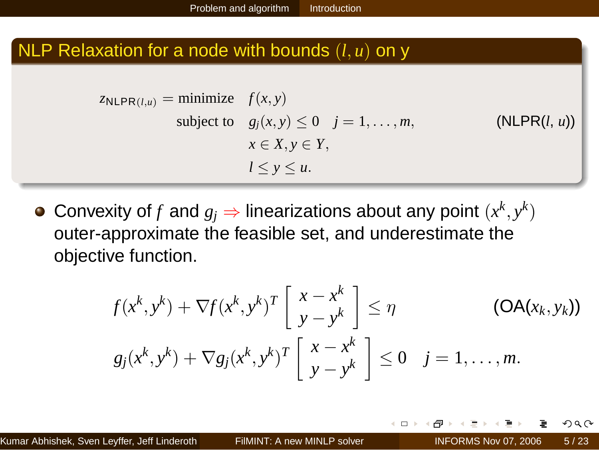#### NLP Relaxation for a node with bounds (*l*, *u*) on y

$$
z_{\mathsf{NLPR}(l,u)} = \text{minimize} \quad f(x, y)
$$
\n
$$
\text{subject to} \quad g_j(x, y) \le 0 \quad j = 1, \dots, m,
$$
\n
$$
x \in X, y \in Y,
$$
\n
$$
l \le y \le u.
$$
\n(NLPR(l, u))

Convexity of  $f$  and  $g_j \Rightarrow$  linearizations about any point  $(x^k, y^k)$ outer-approximate the feasible set, and underestimate the objective function.

$$
f(x^k, y^k) + \nabla f(x^k, y^k)^T \begin{bmatrix} x - x^k \\ y - y^k \end{bmatrix} \leq \eta
$$
 (OA $(x_k, y_k)$ )  

$$
g_j(x^k, y^k) + \nabla g_j(x^k, y^k)^T \begin{bmatrix} x - x^k \\ y - y^k \end{bmatrix} \leq 0 \quad j = 1, ..., m.
$$

 $\leftarrow$   $\Box$   $\rightarrow$ 

ЭÞ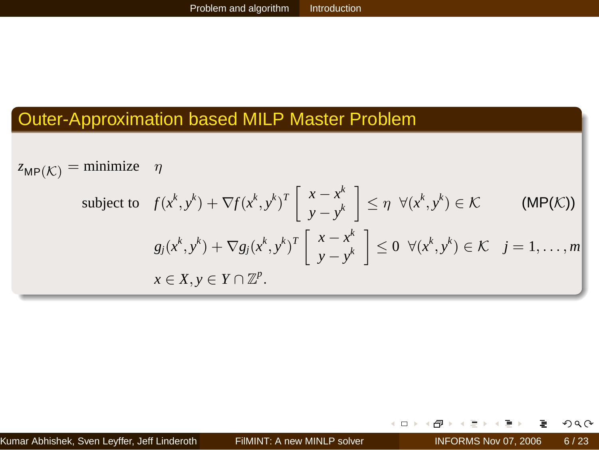#### Outer-Approximation based MILP Master Problem

 $z_{\text{MP}}(\mathcal{K}) =$  minimize  $\eta$ subject to  $f(x^k, y^k) + \nabla f(x^k, y^k)^T \left[ \begin{array}{c} x - x^k \\ y - x^k \end{array} \right]$  $\begin{bmatrix} x - x^k \\ y - y^k \end{bmatrix} \leq \eta \ \ \forall (x^k, y^k)$  $(MP(\mathcal{K}))$  $g_j(x^k, y^k) + \nabla g_j(x^k, y^k)^T$  $\begin{bmatrix} x - x^k \\ y - y^k \end{bmatrix} \leq 0 \ \ \forall (x^k, y^k) \in \mathcal{K} \ \ j = 1, ..., m$  $x \in X, y \in Y \cap \mathbb{Z}^p$ .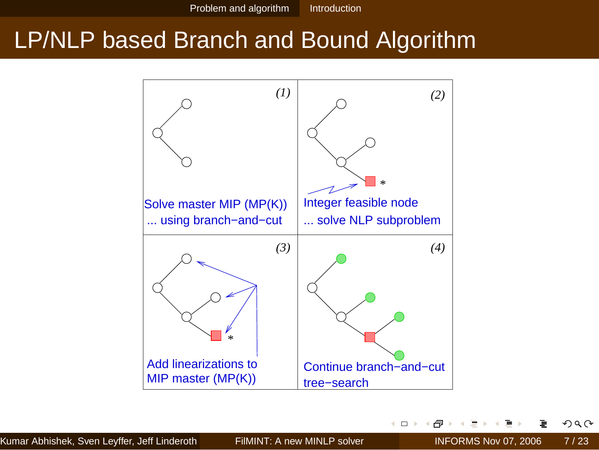## LP/NLP based Branch and Bound Algorithm



 $\leftarrow$   $\Box$   $\rightarrow$ 

凸

÷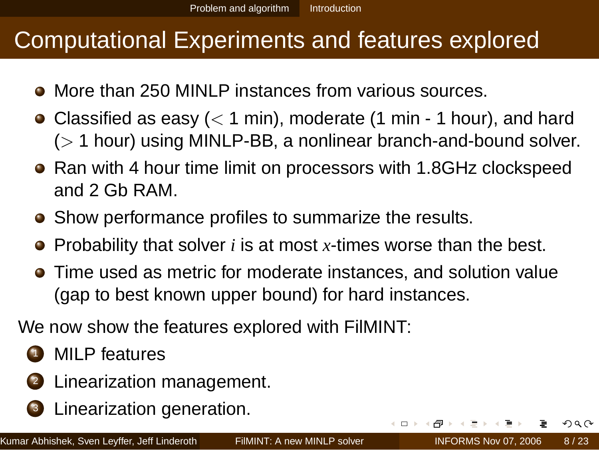## Computational Experiments and features explored

- **More than 250 MINLP instances from various sources.**
- Classified as easy  $(< 1$  min), moderate (1 min 1 hour), and hard  $($  1 hour) using MINLP-BB, a nonlinear branch-and-bound solver.
- Ran with 4 hour time limit on processors with 1.8GHz clockspeed and 2 Gb RAM.
- Show performance profiles to summarize the results.
- Probability that solver *i* is at most *x*-times worse than the best.
- Time used as metric for moderate instances, and solution value (gap to best known upper bound) for hard instances.

We now show the features explored with FilMINT:

- **1** MILP features
- <sup>2</sup> Linearization management.
- <sup>3</sup> Linearization generation.

 $\leftarrow$   $\Box$   $\rightarrow$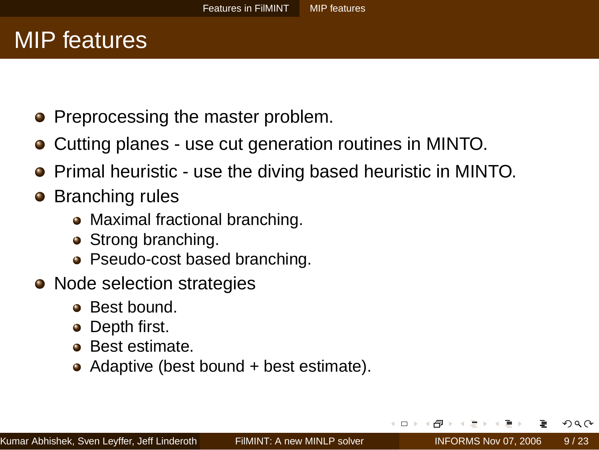## MIP features

- Preprocessing the master problem.
- Cutting planes use cut generation routines in MINTO.
- Primal heuristic use the diving based heuristic in MINTO.
- **•** Branching rules
	- Maximal fractional branching.
	- Strong branching.
	- Pseudo-cost based branching.
- Node selection strategies
	- **a** Best bound.
	- Depth first.
	- **•** Best estimate.
	- Adaptive (best bound + best estimate).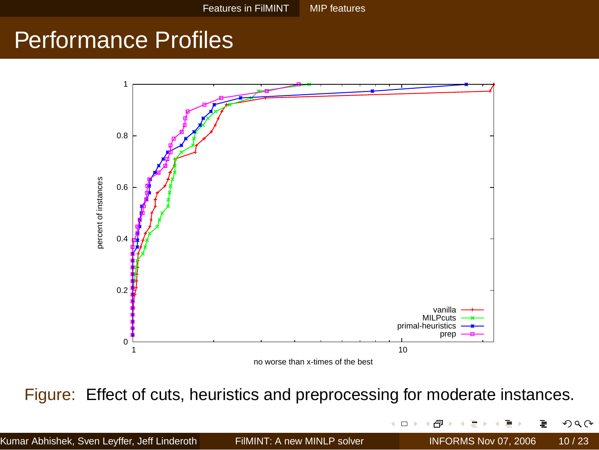## Performance Profiles



Figure: Effect of cuts, heuristics and preprocessing for moderate instances.

|                                              |                             | イロト (何) イミト イヨ) ニヨークダ(^)   |  |
|----------------------------------------------|-----------------------------|----------------------------|--|
| Kumar Abhishek, Sven Leyffer, Jeff Linderoth | FilMINT: A new MINLP solver | INFORMS Nov 07, 2006 10/23 |  |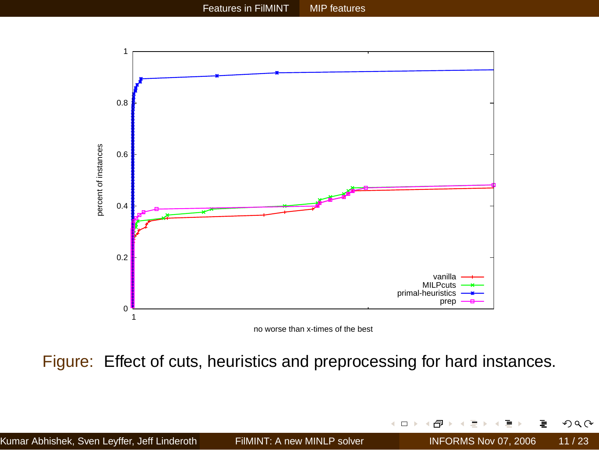

Figure: Effect of cuts, heuristics and preprocessing for hard instances.

 $\leftarrow$   $\Box$   $\rightarrow$ ð ÷

э.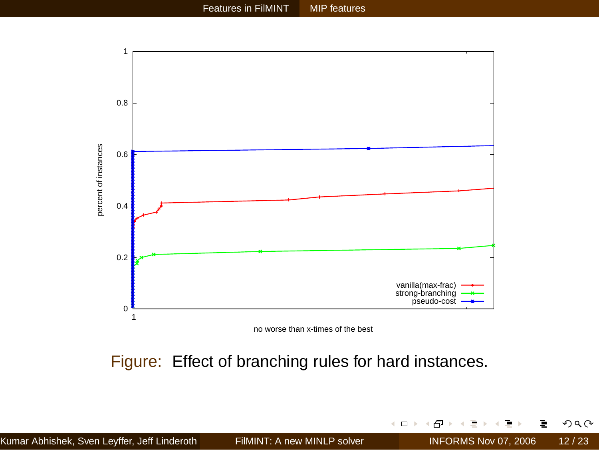

no worse than x-times of the best

Figure: Effect of branching rules for hard instances.

 $\leftarrow$   $\Box$   $\rightarrow$ - 6 メモト メモト

**b** 

ョ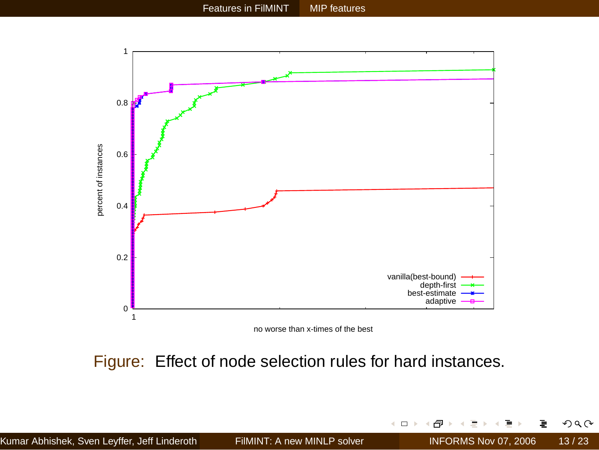

no worse than x-times of the best

Figure: Effect of node selection rules for hard instances.

 $\leftarrow$   $\Box$   $\rightarrow$ - 6 メモト メモト

**b** 

ョ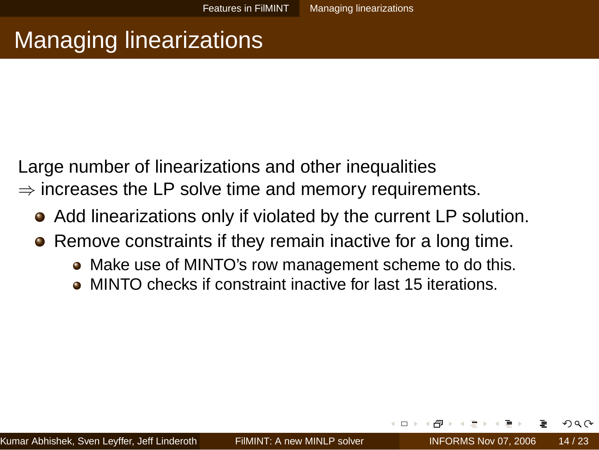# Managing linearizations

Large number of linearizations and other inequalities  $\Rightarrow$  increases the LP solve time and memory requirements.

- Add linearizations only if violated by the current LP solution.  $\bullet$
- Remove constraints if they remain inactive for a long time.
	- Make use of MINTO's row management scheme to do this.
	- MINTO checks if constraint inactive for last 15 iterations.

 $\Omega \propto \Omega$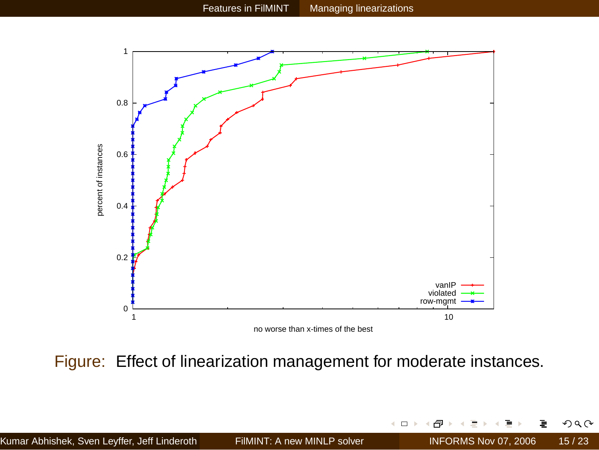

Figure: Effect of linearization management for moderate instances.

 $\leftarrow$  m  $\rightarrow$ - 6 ョ

로 게 크 로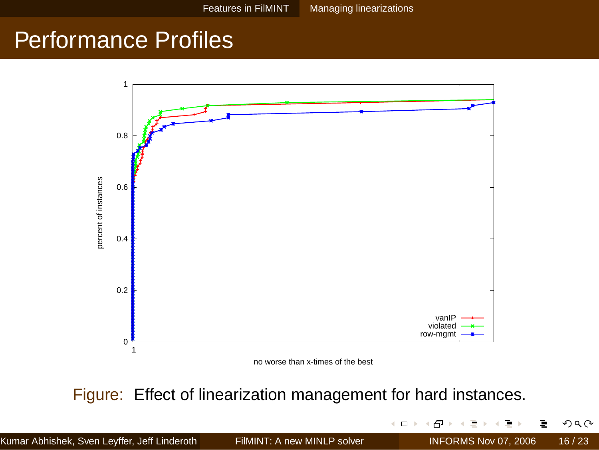## Performance Profiles



no worse than x-times of the best

Figure: Effect of linearization management for hard instances.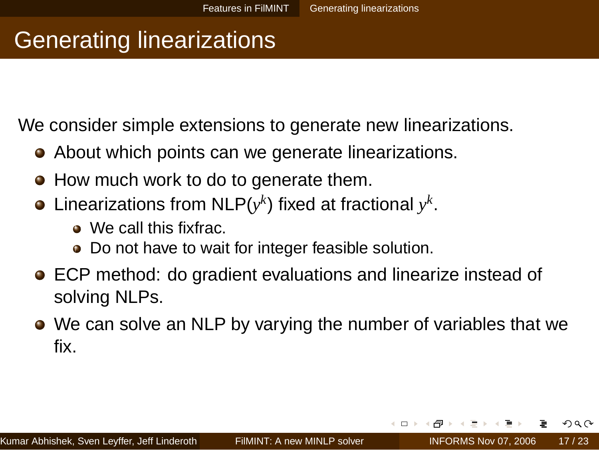## Generating linearizations

We consider simple extensions to generate new linearizations.

- About which points can we generate linearizations.
- How much work to do to generate them.
- Linearizations from [NLP\(](#page-3-0) $y^k$ ) fixed at fractional  $y^k$ .
	- We call this fixfrac.
	- Do not have to wait for integer feasible solution.
- ECP method: do gradient evaluations and linearize instead of solving NLPs.
- We can solve an NLP by varying the number of variables that we fix.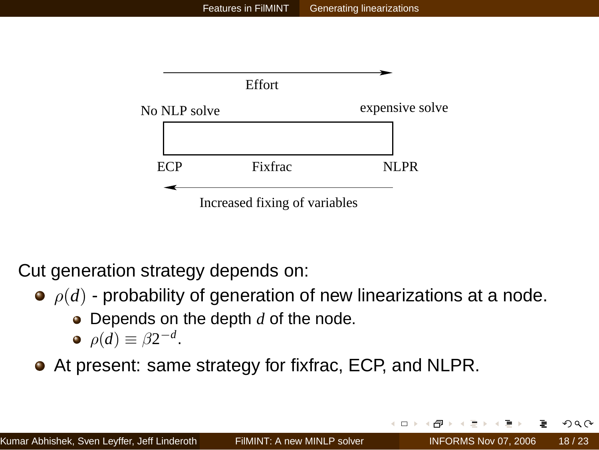

Cut generation strategy depends on:

- $\rho(d)$  probability of generation of new linearizations at a node.
	- **•** Depends on the depth *d* of the node.

$$
\bullet \ \rho(d) \equiv \beta 2^{-d}.
$$

At present: same strategy for fixfrac, ECP, and NLPR.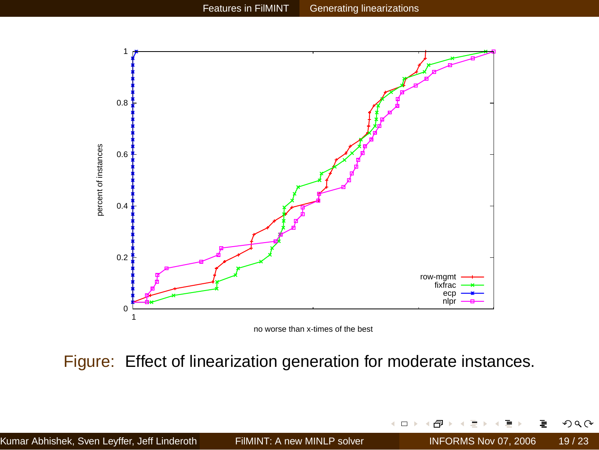

no worse than x-times of the best

Figure: Effect of linearization generation for moderate instances.

 $\leftarrow$   $\Box$   $\rightarrow$ 

ð

Ξ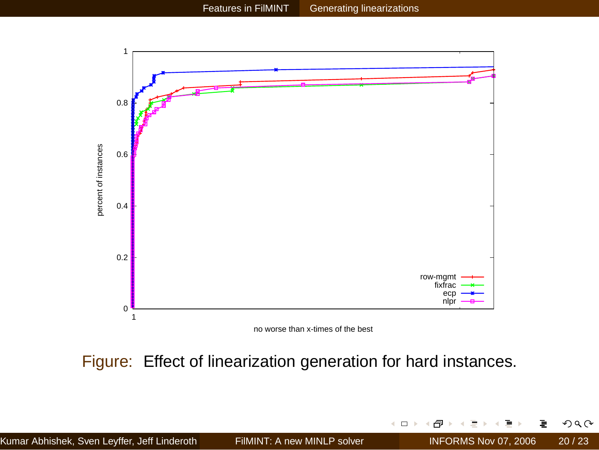

 $\leftarrow$   $\Box$   $\rightarrow$ € ÷ **b**  $\left($ в  $299$ 

ł

Figure: Effect of linearization generation for hard instances.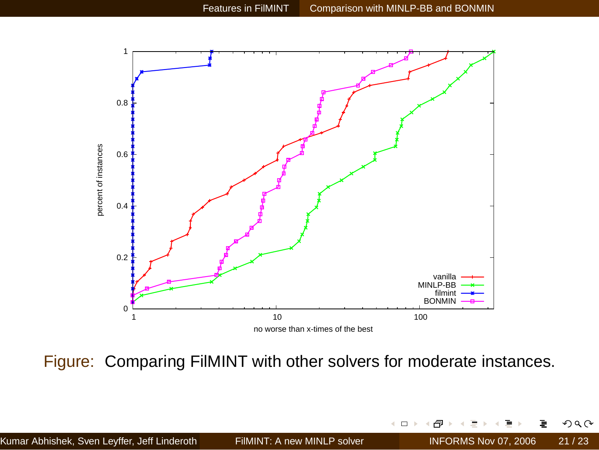

Figure: Comparing FilMINT with other solvers for moderate instances.

 $\leftarrow$   $\Box$   $\rightarrow$ ð ÷

э.

∍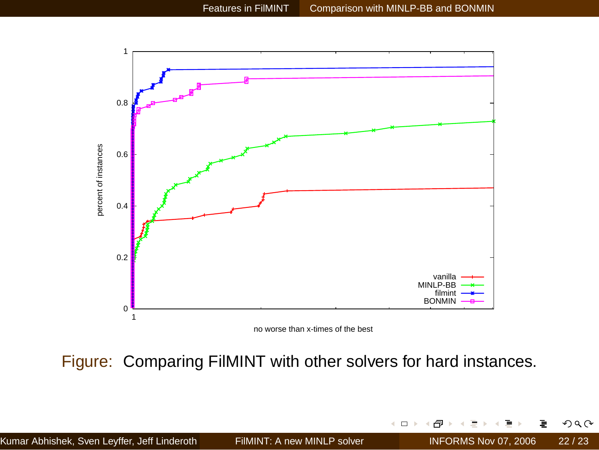

Figure: Comparing FilMINT with other solvers for hard instances.

 $\leftarrow$  m  $\rightarrow$ 虛 ÷. **b** 4 в  $299$ 

ł